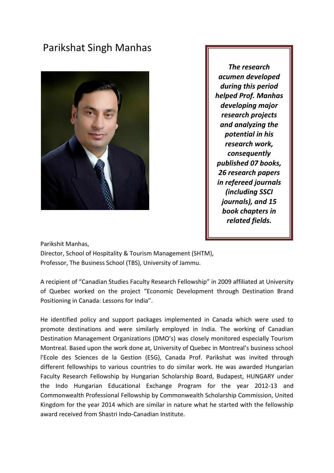## Parikshat Singh Manhas



*The research acumen developed during this period helped Prof. Manhas developing major research projects and analyzing the potential in his research work, consequently published 07 books, 26 research papers in refereed journals (including SSCI journals), and 15 book chapters in related fields.*

Parikshit Manhas,

Director, School of Hospitality & Tourism Management (SHTM), Professor, The Business School (TBS), University of Jammu.

A recipient of "Canadian Studies Faculty Research Fellowship" in 2009 affiliated at University of Quebec worked on the project "Economic Development through Destination Brand Positioning in Canada: Lessons for India".

He identified policy and support packages implemented in Canada which were used to promote destinations and were similarly employed in India. The working of Canadian Destination Management Organizations (DMO's) was closely monitored especially Tourism Montreal. Based upon the work done at, University of Quebec in Montreal's business school l'Ecole des Sciences de la Gestion (ESG), Canada Prof. Parikshat was invited through different fellowships to various countries to do similar work. He was awarded Hungarian Faculty Research Fellowship by Hungarian Scholarship Board, Budapest, HUNGARY under the Indo Hungarian Educational Exchange Program for the year 2012-13 and Commonwealth Professional Fellowship by Commonwealth Scholarship Commission, United Kingdom for the year 2014 which are similar in nature what he started with the fellowship award received from Shastri Indo-Canadian Institute.